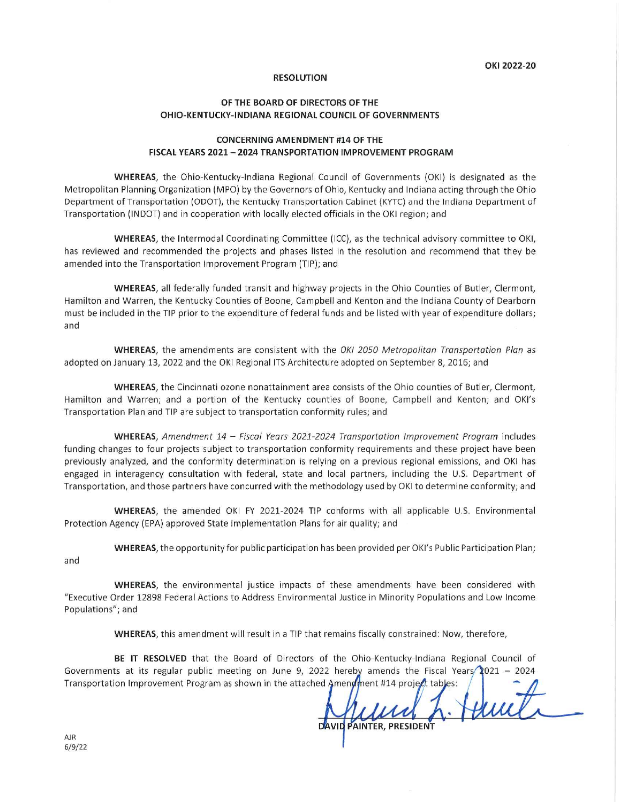## **RESOLUTION**

## OF THE BOARD OF DIRECTORS OF THE **OHIO-KENTUCKY-INDIANA REGIONAL COUNCIL OF GOVERNMENTS**

## **CONCERNING AMENDMENT #14 OF THE** FISCAL YEARS 2021 - 2024 TRANSPORTATION IMPROVEMENT PROGRAM

**WHEREAS**, the Ohio-Kentucky-Indiana Regional Council of Governments (OKI) is designated as the Metropolitan Planning Organization (MPO) by the Governors of Ohio, Kentucky and Indiana acting through the Ohio Department of Transportation (ODOT), the Kentucky Transportation Cabinet (KYTC) and the Indiana Department of Transportation (INDOT) and in cooperation with locally elected officials in the OKI region; and

WHEREAS, the Intermodal Coordinating Committee (ICC), as the technical advisory committee to OKI, has reviewed and recommended the projects and phases listed in the resolution and recommend that they be amended into the Transportation Improvement Program (TIP); and

WHEREAS, all federally funded transit and highway projects in the Ohio Counties of Butler, Clermont, Hamilton and Warren, the Kentucky Counties of Boone, Campbell and Kenton and the Indiana County of Dearborn must be included in the TIP prior to the expenditure of federal funds and be listed with year of expenditure dollars; and

WHEREAS, the amendments are consistent with the OKI 2050 Metropolitan Transportation Plan as adopted on January 13, 2022 and the OKI Regional ITS Architecture adopted on September 8, 2016; and

WHEREAS, the Cincinnati ozone nonattainment area consists of the Ohio counties of Butler, Clermont, Hamilton and Warren; and a portion of the Kentucky counties of Boone, Campbell and Kenton; and OKI's Transportation Plan and TIP are subject to transportation conformity rules; and

WHEREAS, Amendment 14 - Fiscal Years 2021-2024 Transportation Improvement Program includes funding changes to four projects subject to transportation conformity requirements and these project have been previously analyzed, and the conformity determination is relying on a previous regional emissions, and OKI has engaged in interagency consultation with federal, state and local partners, including the U.S. Department of Transportation, and those partners have concurred with the methodology used by OKI to determine conformity; and

**WHEREAS**, the amended OKI FY 2021-2024 TIP conforms with all applicable U.S. Environmental Protection Agency (EPA) approved State Implementation Plans for air quality; and

WHEREAS, the opportunity for public participation has been provided per OKI's Public Participation Plan;

and

WHEREAS, the environmental justice impacts of these amendments have been considered with "Executive Order 12898 Federal Actions to Address Environmental Justice in Minority Populations and Low Income Populations"; and

WHEREAS, this amendment will result in a TIP that remains fiscally constrained: Now, therefore,

BE IT RESOLVED that the Board of Directors of the Ohio-Kentucky-Indiana Regional Council of Governments at its regular public meeting on June 9, 2022 hereby amends the Fiscal Years  $2021 - 2024$ Transportation Improvement Program as shown in the attached Amenoment #14 project tables:

Henrit. DAVID PAINTER, PRESIDENT

**AJR**  $6/9/22$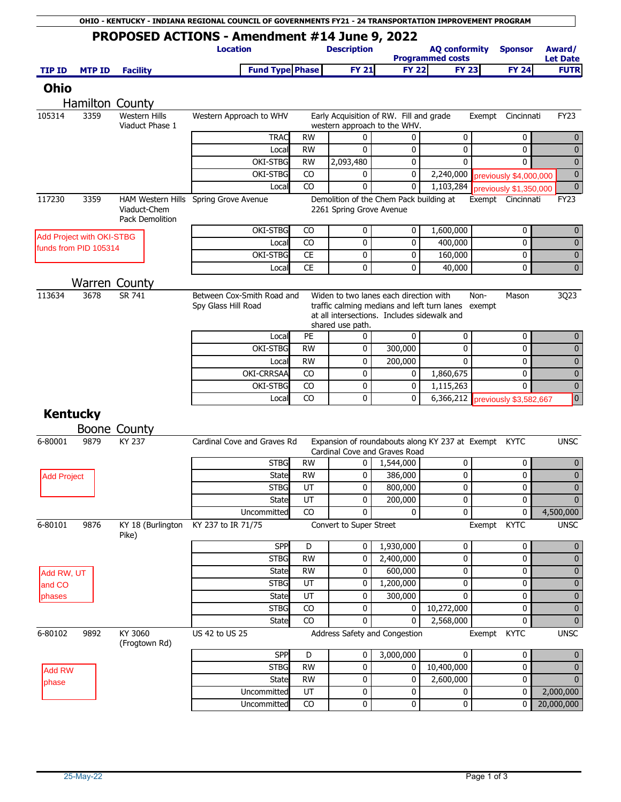|                    |                           |                                 | OHIO - KENTUCKY - INDIANA REGIONAL COUNCIL OF GOVERNMENTS FY21 - 24 TRANSPORTATION IMPROVEMENT PROGRAM |                  |                                                                                       |                                                    |                                                 |                                                      |                             |
|--------------------|---------------------------|---------------------------------|--------------------------------------------------------------------------------------------------------|------------------|---------------------------------------------------------------------------------------|----------------------------------------------------|-------------------------------------------------|------------------------------------------------------|-----------------------------|
|                    |                           |                                 | PROPOSED ACTIONS - Amendment #14 June 9, 2022<br><b>Location</b>                                       |                  | <b>Description</b>                                                                    |                                                    | <b>AQ conformity</b><br><b>Programmed costs</b> | <b>Sponsor</b>                                       | Award/<br><b>Let Date</b>   |
| <b>TIP ID</b>      | <b>MTP ID</b>             | <b>Facility</b>                 | <b>Fund Type Phase</b>                                                                                 |                  | <b>FY 21</b>                                                                          | <b>FY 22</b>                                       | <b>FY 23</b>                                    | <b>FY 24</b>                                         | <b>FUTR</b>                 |
| <b>Ohio</b>        |                           |                                 |                                                                                                        |                  |                                                                                       |                                                    |                                                 |                                                      |                             |
|                    |                           | Hamilton County                 |                                                                                                        |                  |                                                                                       |                                                    |                                                 |                                                      |                             |
| 105314             | 3359                      | <b>Western Hills</b>            | Western Approach to WHV                                                                                |                  |                                                                                       | Early Acquisition of RW. Fill and grade            |                                                 | Cincinnati<br>Exempt                                 | <b>FY23</b>                 |
|                    |                           | Viaduct Phase 1                 |                                                                                                        |                  |                                                                                       | western approach to the WHV.                       |                                                 |                                                      |                             |
|                    |                           |                                 | <b>TRAC</b>                                                                                            | <b>RW</b>        | 0                                                                                     | 0                                                  | 0                                               | 0                                                    | $\mathbf 0$                 |
|                    |                           |                                 | Local                                                                                                  | RW               | 0                                                                                     | 0                                                  | 0                                               | $\mathbf 0$                                          | $\mathbf 0$                 |
|                    |                           |                                 | OKI-STBG                                                                                               | <b>RW</b>        | 2,093,480                                                                             | $\mathbf{0}$                                       | $\mathbf{0}$                                    | $\mathbf 0$                                          | $\overline{0}$              |
|                    |                           |                                 | OKI-STBG                                                                                               | CO               | 0                                                                                     | 0                                                  | 2,240,000                                       | previously \$4,000,000                               | $\mathbf 0$                 |
|                    |                           |                                 | Local                                                                                                  | CO               | 0                                                                                     | 0                                                  | 1,103,284                                       | previously \$1,350,000                               | $\mathbf 0$                 |
| 117230             | 3359                      | Viaduct-Chem<br>Pack Demolition | HAM Western Hills Spring Grove Avenue                                                                  |                  | 2261 Spring Grove Avenue                                                              | Demolition of the Chem Pack building at            |                                                 | Exempt Cincinnati                                    | FY <sub>23</sub>            |
|                    | Add Project with OKI-STBG |                                 | OKI-STBG                                                                                               | CO.              | 0                                                                                     | 0                                                  | 1,600,000                                       | 0                                                    | $\mathbf{0}$                |
|                    | funds from PID 105314     |                                 | Local                                                                                                  | CO               | 0                                                                                     | 0                                                  | 400,000                                         | 0                                                    | $\mathbf{0}$                |
|                    |                           |                                 | OKI-STBG                                                                                               | <b>CE</b>        | 0                                                                                     | 0                                                  | 160,000                                         | 0                                                    | $\bf{0}$                    |
|                    |                           |                                 | Local                                                                                                  | <b>CE</b>        | 0                                                                                     | 0                                                  | 40,000                                          | 0                                                    | $\mathbf 0$                 |
|                    |                           | <b>Warren County</b>            |                                                                                                        |                  |                                                                                       |                                                    |                                                 |                                                      |                             |
| 113634             | 3678                      | SR 741                          | Between Cox-Smith Road and<br>Spy Glass Hill Road                                                      | shared use path. | Widen to two lanes each direction with<br>at all intersections. Includes sidewalk and | traffic calming medians and left turn lanes exempt | Non-<br>Mason                                   | 3Q23                                                 |                             |
|                    |                           |                                 | Local                                                                                                  | PE               | 0                                                                                     | 0                                                  | 0                                               | 0                                                    | $\mathbf 0$                 |
|                    |                           |                                 | OKI-STBG                                                                                               | <b>RW</b>        | 0                                                                                     | 300,000                                            | 0                                               | 0                                                    | $\mathbf 0$                 |
|                    |                           |                                 | Local                                                                                                  | <b>RW</b>        | 0                                                                                     | 200,000                                            | $\mathbf{0}$                                    | 0                                                    | $\mathbf 0$                 |
|                    |                           |                                 | OKI-CRRSAA                                                                                             | CO               | 0                                                                                     | 0                                                  | 1,860,675                                       | 0                                                    | $\mathbf 0$                 |
|                    |                           |                                 | OKI-STBG                                                                                               | CO               | 0                                                                                     | 0                                                  | 1,115,263                                       | $\mathbf 0$                                          | $\mathbf 0$                 |
|                    |                           |                                 | Local                                                                                                  | CO               | $\mathbf{0}$                                                                          | $\mathbf{0}$                                       | 6,366,212                                       | previously \$3,582,667                               | $\boxed{0}$                 |
| <b>Kentucky</b>    |                           |                                 |                                                                                                        |                  |                                                                                       |                                                    |                                                 |                                                      |                             |
|                    |                           | Boone County                    |                                                                                                        |                  |                                                                                       |                                                    |                                                 |                                                      |                             |
| 6-80001            | 9879                      | KY 237                          | Cardinal Cove and Graves Rd                                                                            |                  |                                                                                       | Cardinal Cove and Graves Road                      |                                                 | Expansion of roundabouts along KY 237 at Exempt KYTC | <b>UNSC</b>                 |
|                    |                           |                                 | <b>STBG</b>                                                                                            | <b>RW</b>        | 0                                                                                     | 1,544,000                                          | 0                                               | 0                                                    | $\mathbf 0$                 |
| <b>Add Project</b> |                           |                                 | State<br><b>STBG</b>                                                                                   | <b>RW</b><br>UT  | 0<br>0                                                                                | 386,000<br>800,000                                 | 0<br>0                                          | 0<br>$\Omega$                                        | $\bf{0}$                    |
|                    |                           |                                 | <b>State</b>                                                                                           | UT               | 0                                                                                     | 200,000                                            | 0                                               | 0                                                    | $\mathbf 0$<br>$\mathbf{0}$ |
|                    |                           |                                 | Uncommitted                                                                                            | CO               | 0                                                                                     | 0                                                  | 0                                               | 0                                                    | 4,500,000                   |
| 6-80101            | 9876                      | KY 18 (Burlington<br>Pike)      | KY 237 to IR 71/75                                                                                     |                  | Convert to Super Street                                                               |                                                    |                                                 | Exempt KYTC                                          | <b>UNSC</b>                 |
|                    |                           |                                 | SPP                                                                                                    | D                | 0                                                                                     | 1,930,000                                          | 0                                               | 0                                                    | $\mathbf 0$                 |
|                    |                           |                                 | <b>STBG</b>                                                                                            | <b>RW</b>        | 0                                                                                     | 2,400,000                                          | 0                                               | 0                                                    | $\mathbf 0$                 |
| Add RW, UT         |                           |                                 | State                                                                                                  | <b>RW</b>        | 0                                                                                     | 600,000                                            | 0                                               | 0                                                    | $\bf{0}$                    |
| and CO             |                           |                                 | <b>STBG</b>                                                                                            | UT               | 0                                                                                     | 1,200,000                                          | 0                                               | 0                                                    | $\bf{0}$                    |
| phases             |                           |                                 | State                                                                                                  | UT               | 0                                                                                     | 300,000                                            | 0                                               | 0                                                    | $\pmb{0}$                   |
|                    |                           |                                 | <b>STBG</b>                                                                                            | CO               | 0                                                                                     | 0                                                  | 10,272,000                                      | 0                                                    | $\pmb{0}$                   |
| 6-80102            | 9892                      | KY 3060<br>(Frogtown Rd)        | <b>State</b><br>US 42 to US 25                                                                         | CO               | 0                                                                                     | 0<br>Address Safety and Congestion                 | 2,568,000                                       | $\mathbf{0}$<br>Exempt KYTC                          | $\mathbf 0$<br><b>UNSC</b>  |
|                    |                           |                                 | <b>SPP</b>                                                                                             | D                | 0                                                                                     | 3,000,000                                          | 0                                               | 0                                                    | $\mathbf 0$                 |
| <b>Add RW</b>      |                           |                                 | <b>STBG</b>                                                                                            | <b>RW</b>        | 0                                                                                     | 0                                                  | 10,400,000                                      | 0                                                    | $\mathbf 0$                 |
| phase              |                           |                                 | State                                                                                                  | <b>RW</b>        | 0                                                                                     | 0                                                  | 2,600,000                                       | 0                                                    | $\mathbf 0$                 |
|                    |                           |                                 | Uncommitted                                                                                            | UT               | 0                                                                                     | 0                                                  | 0                                               | 0                                                    | 2,000,000                   |
|                    |                           |                                 | Uncommitted                                                                                            | CO               | 0                                                                                     | 0                                                  | 0                                               | 0                                                    | 20,000,000                  |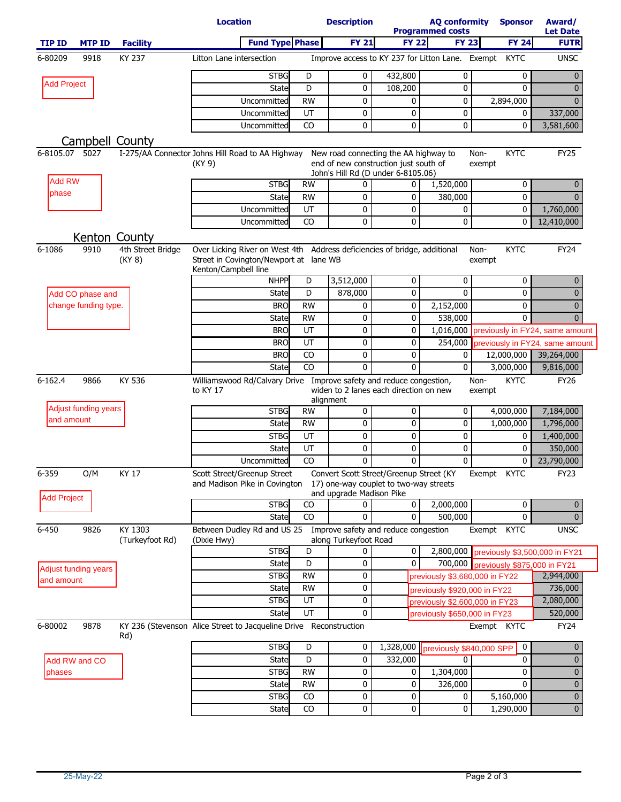|                      |                      |                             | <b>Location</b>                                                                                                                             |                 | <b>Description</b>       |                                                                                   | <b>AQ conformity</b><br><b>Programmed costs</b>  | <b>Sponsor</b>                       | Award/<br><b>Let Date</b>       |
|----------------------|----------------------|-----------------------------|---------------------------------------------------------------------------------------------------------------------------------------------|-----------------|--------------------------|-----------------------------------------------------------------------------------|--------------------------------------------------|--------------------------------------|---------------------------------|
| <b>TIP ID</b>        | <b>MTP ID</b>        | <b>Facility</b>             | <b>Fund Type Phase</b>                                                                                                                      |                 | <b>FY 21</b>             | <b>FY 22</b>                                                                      | <b>FY 23</b>                                     | <b>FY 24</b>                         | <b>FUTR</b>                     |
| 6-80209              | 9918                 | KY 237                      | Litton Lane intersection                                                                                                                    |                 |                          |                                                                                   | Improve access to KY 237 for Litton Lane. Exempt | <b>KYTC</b>                          | <b>UNSC</b>                     |
|                      |                      |                             | <b>STBG</b>                                                                                                                                 | D               | $\mathbf{0}$             | 432,800                                                                           | 0                                                | 0                                    | 0                               |
| <b>Add Project</b>   |                      |                             | State                                                                                                                                       | D               | 0                        | 108,200                                                                           | 0                                                | $\mathbf{0}$                         | $\Omega$                        |
|                      |                      |                             | Uncommitted                                                                                                                                 | <b>RW</b>       | 0                        | 0                                                                                 | 0                                                | 2,894,000                            | $\Omega$                        |
|                      |                      |                             | Uncommitted                                                                                                                                 | UT              | 0                        | 0                                                                                 | 0                                                | 0                                    | 337,000                         |
|                      |                      |                             | Uncommitted                                                                                                                                 | CO              | $\mathbf 0$              | 0                                                                                 | 0                                                | 0                                    | 3,581,600                       |
|                      | Campbell County      |                             |                                                                                                                                             |                 |                          |                                                                                   |                                                  |                                      |                                 |
| 6-8105.07            | 5027                 |                             | I-275/AA Connector Johns Hill Road to AA Highway                                                                                            |                 |                          | New road connecting the AA highway to                                             |                                                  | <b>KYTC</b><br>Non-                  | <b>FY25</b>                     |
|                      |                      |                             | (KY 9)                                                                                                                                      |                 |                          | end of new construction just south of<br>John's Hill Rd (D under 6-8105.06)       |                                                  | exempt                               |                                 |
| <b>Add RW</b>        |                      |                             | <b>STBG</b>                                                                                                                                 | <b>RW</b>       | 0                        | 0                                                                                 | 1,520,000                                        | 0                                    |                                 |
| phase                |                      |                             | <b>State</b>                                                                                                                                | <b>RW</b>       | 0                        | 0                                                                                 | 380,000                                          | $\mathbf 0$                          |                                 |
|                      |                      |                             | Uncommitted                                                                                                                                 | UT              | 0                        | 0                                                                                 | 0                                                | $\mathbf 0$                          | 1,760,000                       |
|                      |                      |                             | Uncommitted                                                                                                                                 | CO              | 0                        | 0                                                                                 | 0                                                | 0                                    | 12,410,000                      |
|                      | Kenton County        |                             |                                                                                                                                             |                 |                          |                                                                                   |                                                  |                                      |                                 |
| 6-1086               | 9910                 | 4th Street Bridge<br>(KY 8) | Over Licking River on West 4th Address deficiencies of bridge, additional<br>Street in Covington/Newport at lane WB<br>Kenton/Campbell line |                 |                          |                                                                                   |                                                  | <b>KYTC</b><br>Non-<br>exempt        | <b>FY24</b>                     |
|                      |                      |                             | <b>NHPP</b>                                                                                                                                 | D               | 3,512,000                | 0                                                                                 | 0                                                | 0                                    | $\mathbf{0}$                    |
|                      | Add CO phase and     |                             | <b>State</b>                                                                                                                                | D               | 878,000                  | 0                                                                                 | $\Omega$                                         | 0                                    | $\Omega$                        |
|                      | change funding type. |                             | <b>BRO</b>                                                                                                                                  | <b>RW</b>       | 0                        | 0                                                                                 | 2,152,000                                        | 0                                    | $\Omega$                        |
|                      |                      |                             | <b>State</b>                                                                                                                                | <b>RW</b><br>UT | 0                        | 0                                                                                 | 538,000                                          | 0                                    | $\Omega$                        |
|                      |                      |                             | <b>BRO</b>                                                                                                                                  | UT              | 0<br>$\mathbf 0$         | 0                                                                                 | 1,016,000                                        |                                      | previously in FY24, same amount |
|                      |                      |                             | <b>BRO</b><br><b>BRO</b>                                                                                                                    | CO              | 0                        | 0<br>0                                                                            | 254,000<br>0                                     |                                      | previously in FY24, same amount |
|                      |                      |                             | <b>State</b>                                                                                                                                | CO              | $\Omega$                 | 0                                                                                 | 0                                                | 12,000,000<br>3,000,000              | 39,264,000<br>9,816,000         |
| $6 - 162.4$          | 9866                 | KY 536                      | Williamswood Rd/Calvary Drive Improve safety and reduce congestion,<br>to KY 17                                                             |                 | alignment                | widen to 2 lanes each direction on new                                            |                                                  | <b>KYTC</b><br>Non-<br>exempt        | <b>FY26</b>                     |
|                      | Adjust funding years |                             | <b>STBG</b>                                                                                                                                 | <b>RW</b>       | $\mathbf 0$              | 0                                                                                 | 0                                                | 4,000,000                            | 7,184,000                       |
| and amount           |                      |                             | <b>State</b>                                                                                                                                | <b>RW</b>       | 0                        | 0                                                                                 | 0                                                | 1,000,000                            | 1,796,000                       |
|                      |                      |                             | <b>STBG</b>                                                                                                                                 | UT              | 0                        | 0                                                                                 | 0                                                | 0                                    | 1,400,000                       |
|                      |                      |                             | State                                                                                                                                       | UT              | 0                        | 0                                                                                 | 0                                                | 0                                    | 350,000                         |
|                      |                      |                             | Uncommitted                                                                                                                                 | CO              | 0                        | 0                                                                                 | 0                                                | 0                                    | 23,790,000                      |
| 6-359<br>Add Project | O/M                  | KY 17                       | Scott Street/Greenup Street<br>and Madison Pike in Covington                                                                                |                 | and upgrade Madison Pike | Convert Scott Street/Greenup Street (KY<br>17) one-way couplet to two-way streets | Exempt KYTC                                      | FY <sub>23</sub>                     |                                 |
|                      |                      |                             | <b>STBG</b>                                                                                                                                 | CO              | 0                        | 0                                                                                 | 2,000,000                                        | 0                                    | 0                               |
|                      |                      |                             | <b>State</b>                                                                                                                                | CO              | 0                        | $\Omega$                                                                          | 500,000                                          | 0                                    | $\Omega$                        |
| 6-450                | 9826                 | KY 1303<br>(Turkeyfoot Rd)  | Between Dudley Rd and US 25<br>(Dixie Hwy)                                                                                                  |                 | along Turkeyfoot Road    | Improve safety and reduce congestion                                              |                                                  | Exempt KYTC                          | <b>UNSC</b>                     |
|                      |                      |                             | <b>STBG</b>                                                                                                                                 | D               | 0                        | 0                                                                                 | 2,800,000                                        | previously \$3,500,000 in FY21       |                                 |
|                      | Adjust funding years |                             | <b>State</b>                                                                                                                                | D               | 0                        | 0                                                                                 |                                                  | 700,000 previously \$875,000 in FY21 |                                 |
| and amount           |                      |                             | <b>STBG</b>                                                                                                                                 | <b>RW</b>       | 0                        |                                                                                   | previously \$3,680,000 in FY22                   |                                      | 2,944,000                       |
|                      |                      |                             | <b>State</b>                                                                                                                                | <b>RW</b>       | 0                        |                                                                                   | previously \$920,000 in FY22                     |                                      | 736,000                         |
|                      |                      |                             | <b>STBG</b>                                                                                                                                 | UT              | 0                        |                                                                                   | previously \$2,600,000 in FY23                   |                                      | 2,080,000                       |
| 6-80002              | 9878                 |                             | <b>State</b><br>KY 236 (Stevenson Alice Street to Jacqueline Drive Reconstruction                                                           | UT              | 0                        |                                                                                   | previously \$650,000 in FY23                     | Exempt KYTC                          | 520,000<br><b>FY24</b>          |
|                      |                      | Rd)                         | <b>STBG</b>                                                                                                                                 | D               | 0                        | 1,328,000                                                                         |                                                  | 0                                    |                                 |
|                      |                      |                             | <b>State</b>                                                                                                                                | D               | 0                        | 332,000                                                                           | previously \$840,000 SPP<br>0                    | $\mathbf 0$                          | 0                               |
| phases               | Add RW and CO        |                             | <b>STBG</b>                                                                                                                                 | <b>RW</b>       | 0                        | 0                                                                                 | 1,304,000                                        | 0                                    | 0                               |
|                      |                      |                             | <b>State</b>                                                                                                                                | <b>RW</b>       | 0                        | 0                                                                                 | 326,000                                          | $\mathbf{0}$                         | $\Omega$                        |
|                      |                      |                             | <b>STBG</b>                                                                                                                                 | CO              | $\pmb{0}$                | 0                                                                                 | 0                                                | 5,160,000                            | $\mathbf{0}$                    |
|                      |                      |                             | State                                                                                                                                       | CO              | $\overline{0}$           | 0                                                                                 | 0                                                | 1,290,000                            | $\pmb{0}$                       |
|                      |                      |                             |                                                                                                                                             |                 |                          |                                                                                   |                                                  |                                      |                                 |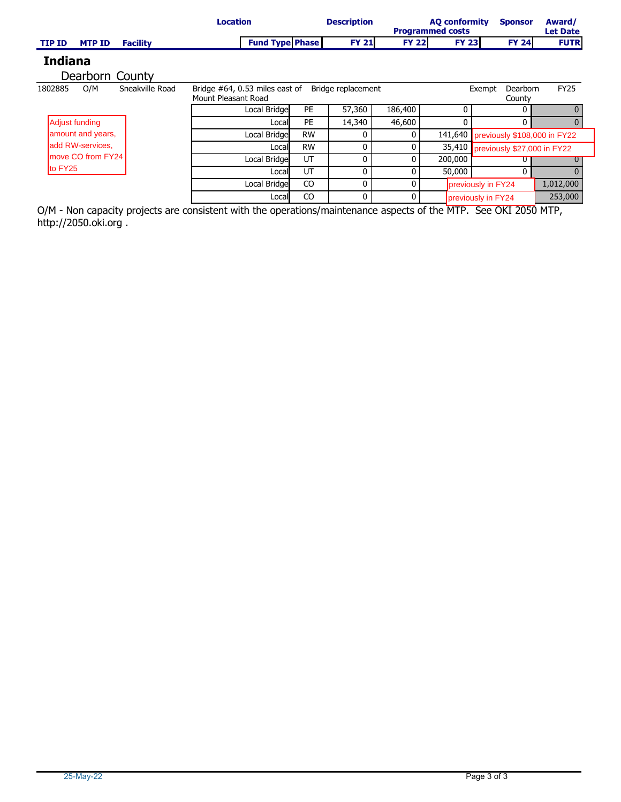|                                |                 | <b>Location</b>                                          |           | <b>Description</b> |              | <b>AQ conformity</b><br><b>Programmed costs</b> | <b>Sponsor</b>                     | Award/<br><b>Let Date</b> |  |
|--------------------------------|-----------------|----------------------------------------------------------|-----------|--------------------|--------------|-------------------------------------------------|------------------------------------|---------------------------|--|
| <b>MTP ID</b><br><b>TIP ID</b> | <b>Facility</b> | <b>Fund Type Phase</b>                                   |           | <b>FY 21</b>       | <b>FY 22</b> | <b>FY 23</b>                                    | <b>FY 24</b>                       | <b>FUTR</b>               |  |
| <b>Indiana</b>                 |                 |                                                          |           |                    |              |                                                 |                                    |                           |  |
| Dearborn County                |                 |                                                          |           |                    |              |                                                 |                                    |                           |  |
| O/M<br>1802885                 | Sneakville Road | Bridge $#64$ , 0.53 miles east of<br>Mount Pleasant Road |           | Bridge replacement |              |                                                 | Dearborn<br>Exempt<br>County       | <b>FY25</b>               |  |
|                                |                 | Local Bridge                                             | PE        | 57,360             | 186,400      | 0                                               | 0                                  |                           |  |
| Adjust funding                 |                 | Local                                                    | <b>PE</b> | 14,340             | 46,600       | 0                                               | 0                                  | O                         |  |
| amount and years,              |                 | Local Bridge                                             | <b>RW</b> | 0                  | 0            | 141,640                                         | previously \$108,000 in FY22       |                           |  |
| ladd RW-services.              |                 | Locall                                                   | <b>RW</b> | 0                  | 0            |                                                 | 35,410 previously \$27,000 in FY22 |                           |  |
| move CO from FY24              |                 | Local Bridge                                             | UT        | 0                  | 0            | 200,000                                         |                                    |                           |  |
| to FY25                        |                 | Locall                                                   | UT        | 0                  | 0            | 50,000                                          | 0                                  |                           |  |
|                                |                 | Local Bridge                                             | CO        | 0                  | $\Omega$     |                                                 | previously in FY24                 | 1,012,000                 |  |
|                                |                 | Local                                                    | CO        | 0                  | $\Omega$     |                                                 | previously in FY24                 | 253,000                   |  |

O/M - Non capacity projects are consistent with the operations/maintenance aspects of the MTP. See OKI 2050 MTP, http://2050.oki.org .